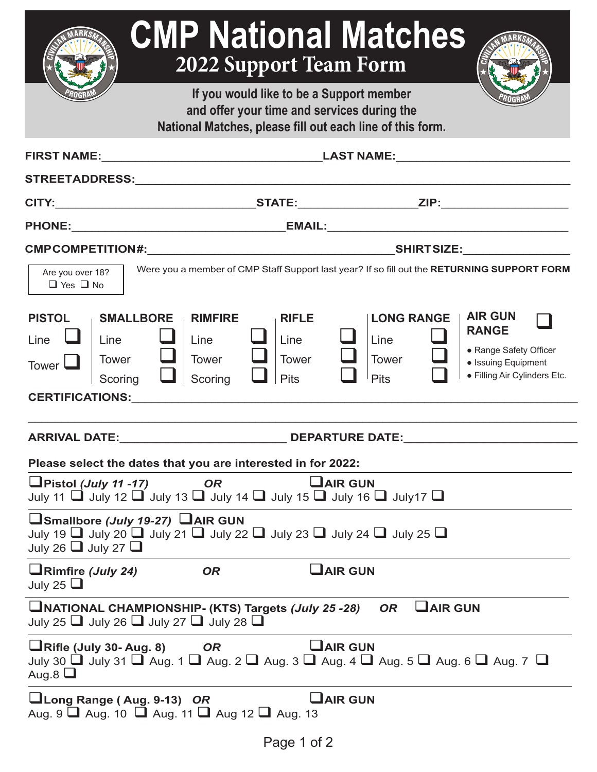| <b>CMP National Matches</b><br><b>2022 Support Team Form</b>                                                                                                                                                                                                                                                                                                                             |                                                     |                                                                                             |                                                                                                                 |  |  |  |
|------------------------------------------------------------------------------------------------------------------------------------------------------------------------------------------------------------------------------------------------------------------------------------------------------------------------------------------------------------------------------------------|-----------------------------------------------------|---------------------------------------------------------------------------------------------|-----------------------------------------------------------------------------------------------------------------|--|--|--|
| If you would like to be a Support member<br>and offer your time and services during the                                                                                                                                                                                                                                                                                                  |                                                     |                                                                                             |                                                                                                                 |  |  |  |
| National Matches, please fill out each line of this form.                                                                                                                                                                                                                                                                                                                                |                                                     |                                                                                             |                                                                                                                 |  |  |  |
|                                                                                                                                                                                                                                                                                                                                                                                          |                                                     |                                                                                             |                                                                                                                 |  |  |  |
|                                                                                                                                                                                                                                                                                                                                                                                          |                                                     |                                                                                             |                                                                                                                 |  |  |  |
|                                                                                                                                                                                                                                                                                                                                                                                          |                                                     |                                                                                             |                                                                                                                 |  |  |  |
|                                                                                                                                                                                                                                                                                                                                                                                          |                                                     |                                                                                             |                                                                                                                 |  |  |  |
| Are you over 18?<br>$\Box$ Yes $\Box$ No                                                                                                                                                                                                                                                                                                                                                 |                                                     | Were you a member of CMP Staff Support last year? If so fill out the RETURNING SUPPORT FORM |                                                                                                                 |  |  |  |
| <b>SMALLBORE</b><br><b>PISTOL</b><br><b>RIMFIRE</b><br>Line<br>Line<br>Line<br><b>Tower</b><br><b>Tower</b><br>Tower $\Box$<br>Scoring<br>Scoring<br><b>CERTIFICATIONS:</b> THE RESERVE OF THE RESERVE OF THE RESERVE OF THE RESERVE OF THE RESERVE OF THE RESERVE OF THE RESERVE OF THE RESERVE OF THE RESERVE OF THE RESERVE OF THE RESERVE OF THE RESERVE OF THE RESERVE OF THE RESER | <b>RIFLE</b><br>Line<br><b>Tower</b><br><b>Pits</b> | <b>LONG RANGE</b><br>Line<br>Tower<br><b>Pits</b>                                           | <b>AIR GUN</b><br><b>RANGE</b><br>• Range Safety Officer<br>• Issuing Equipment<br>• Filling Air Cylinders Etc. |  |  |  |
|                                                                                                                                                                                                                                                                                                                                                                                          |                                                     |                                                                                             |                                                                                                                 |  |  |  |
| <b>ARRIVAL DATE:</b><br><b>DEPARTURE DATE:</b>                                                                                                                                                                                                                                                                                                                                           |                                                     |                                                                                             |                                                                                                                 |  |  |  |
| Please select the dates that you are interested in for 2022:<br>$\Box$ Pistol ( <i>July 11 -17</i> )<br>$U$ AIR GUN<br><b>OR</b><br>July 11 $\Box$ July 12 $\Box$ July 13 $\Box$ July 14 $\Box$ July 15 $\Box$ July 16 $\Box$ July 17 $\Box$                                                                                                                                             |                                                     |                                                                                             |                                                                                                                 |  |  |  |
| □Smallbore (July 19-27) □AIR GUN<br>July 19 $\Box$ July 20 $\Box$ July 21 $\Box$ July 22 $\Box$ July 23 $\Box$ July 24 $\Box$ July 25 $\Box$<br>July 26 $\Box$ July 27 $\Box$                                                                                                                                                                                                            |                                                     |                                                                                             |                                                                                                                 |  |  |  |
| $\Box$ Rimfire (July 24)<br><b>OR</b><br>July 25 $\Box$                                                                                                                                                                                                                                                                                                                                  |                                                     | $\mathrel{\mathsf{L}}$ AIR GUN                                                              |                                                                                                                 |  |  |  |
| UNATIONAL CHAMPIONSHIP- (KTS) Targets (July 25 -28)<br>July 25 $\Box$ July 26 $\Box$ July 27 $\Box$ July 28 $\Box$                                                                                                                                                                                                                                                                       |                                                     | <b>LAIR GUN</b><br><b>OR</b>                                                                |                                                                                                                 |  |  |  |
| $\Box$ Rifle (July 30- Aug. 8) OR<br>July 30 $\Box$ July 31 $\Box$ Aug. 1 $\Box$ Aug. 2 $\Box$ Aug. 3 $\Box$ Aug. 4 $\Box$ Aug. 5 $\Box$ Aug. 6 $\Box$ Aug. 7 $\Box$<br>Aug.8 $\Box$                                                                                                                                                                                                     | $U$ AIR GUN                                         |                                                                                             |                                                                                                                 |  |  |  |
| Long Range (Aug. 9-13) OR<br>Aug. 9 $\Box$ Aug. 10 $\Box$ Aug. 11 $\Box$ Aug 12 $\Box$ Aug. 13                                                                                                                                                                                                                                                                                           |                                                     | $\Box$ AIR GUN                                                                              |                                                                                                                 |  |  |  |